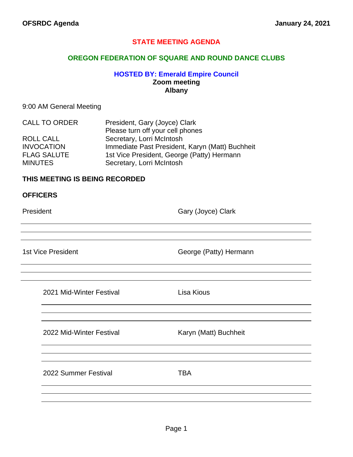## **STATE MEETING AGENDA**

## **OREGON FEDERATION OF SQUARE AND ROUND DANCE CLUBS**

## **HOSTED BY: Emerald Empire Council Zoom meeting Albany**

#### 9:00 AM General Meeting

| <b>CALL TO ORDER</b> | President, Gary (Joyce) Clark                   |
|----------------------|-------------------------------------------------|
|                      | Please turn off your cell phones                |
| ROLL CALL            | Secretary, Lorri McIntosh                       |
| <b>INVOCATION</b>    | Immediate Past President, Karyn (Matt) Buchheit |
| <b>FLAG SALUTE</b>   | 1st Vice President, George (Patty) Hermann      |
| <b>MINUTES</b>       | Secretary, Lorri McIntosh                       |

## **THIS MEETING IS BEING RECORDED**

| <b>OFFICERS</b> |  |
|-----------------|--|
|-----------------|--|

President **Gary (Joyce)** Clark

1st Vice President **George (Patty)** Hermann

| 2021 Mid-Winter Festival |  |
|--------------------------|--|
|                          |  |

Lisa Kious

2022 Mid-Winter Festival Karyn (Matt) Buchheit

2022 Summer Festival **TBA**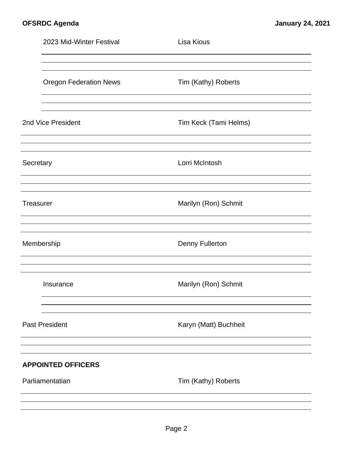|                    | 2023 Mid-Winter Festival      | Lisa Kious             |  |  |
|--------------------|-------------------------------|------------------------|--|--|
|                    | <b>Oregon Federation News</b> | Tim (Kathy) Roberts    |  |  |
| 2nd Vice President |                               | Tim Keck (Tami Helms)  |  |  |
| Secretary          |                               | Lorri McIntosh         |  |  |
| Treasurer          |                               | Marilyn (Ron) Schmit   |  |  |
|                    | Membership                    | <b>Denny Fullerton</b> |  |  |
|                    | Insurance                     | Marilyn (Ron) Schmit   |  |  |
|                    | <b>Past President</b>         | Karyn (Matt) Buchheit  |  |  |
|                    | <b>APPOINTED OFFICERS</b>     |                        |  |  |
|                    | Parliamentatian               | Tim (Kathy) Roberts    |  |  |
|                    |                               |                        |  |  |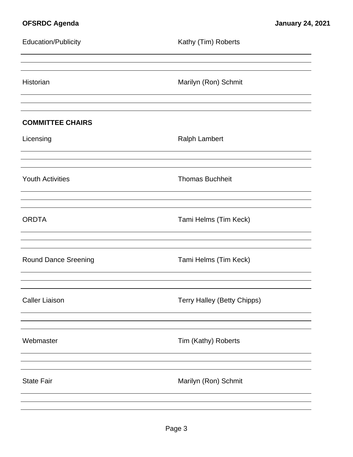| <b>Education/Publicity</b>           | Kathy (Tim) Roberts         |
|--------------------------------------|-----------------------------|
| Historian                            | Marilyn (Ron) Schmit        |
| <b>COMMITTEE CHAIRS</b><br>Licensing | <b>Ralph Lambert</b>        |
| <b>Youth Activities</b>              | <b>Thomas Buchheit</b>      |
| <b>ORDTA</b>                         | Tami Helms (Tim Keck)       |
| <b>Round Dance Sreening</b>          | Tami Helms (Tim Keck)       |
| <b>Caller Liaison</b>                | Terry Halley (Betty Chipps) |
| Webmaster                            | Tim (Kathy) Roberts         |
| <b>State Fair</b>                    | Marilyn (Ron) Schmit        |
|                                      |                             |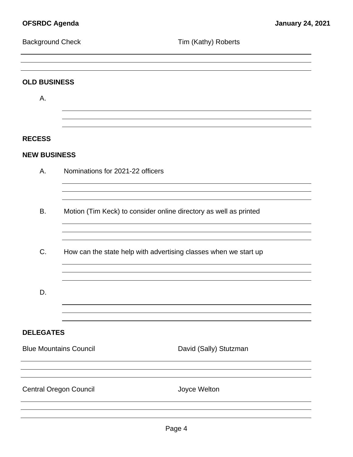| <b>Background Check</b>       |                                                                   | Tim (Kathy) Roberts                                              |  |
|-------------------------------|-------------------------------------------------------------------|------------------------------------------------------------------|--|
|                               |                                                                   |                                                                  |  |
| <b>OLD BUSINESS</b>           |                                                                   |                                                                  |  |
| Α.                            |                                                                   |                                                                  |  |
|                               |                                                                   |                                                                  |  |
| <b>RECESS</b>                 |                                                                   |                                                                  |  |
| <b>NEW BUSINESS</b>           |                                                                   |                                                                  |  |
| Α.                            |                                                                   | Nominations for 2021-22 officers                                 |  |
|                               |                                                                   |                                                                  |  |
| <b>B.</b>                     | Motion (Tim Keck) to consider online directory as well as printed |                                                                  |  |
| C.                            |                                                                   | How can the state help with advertising classes when we start up |  |
| D.                            |                                                                   |                                                                  |  |
| <b>DELEGATES</b>              |                                                                   |                                                                  |  |
| <b>Blue Mountains Council</b> |                                                                   | David (Sally) Stutzman                                           |  |
| <b>Central Oregon Council</b> |                                                                   | Joyce Welton                                                     |  |
|                               |                                                                   |                                                                  |  |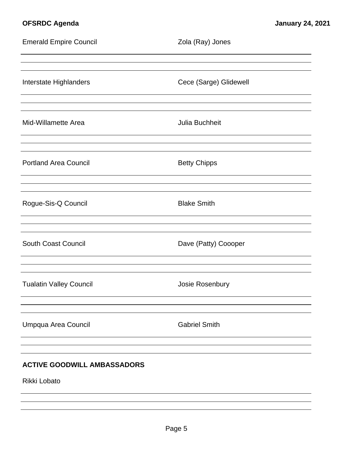| <b>Emerald Empire Council</b>                      | Zola (Ray) Jones       |
|----------------------------------------------------|------------------------|
| Interstate Highlanders                             | Cece (Sarge) Glidewell |
| Mid-Willamette Area                                | Julia Buchheit         |
| <b>Portland Area Council</b>                       | <b>Betty Chipps</b>    |
| Rogue-Sis-Q Council                                | <b>Blake Smith</b>     |
| <b>South Coast Council</b>                         | Dave (Patty) Coooper   |
| <b>Tualatin Valley Council</b>                     | Josie Rosenbury        |
| Umpqua Area Council                                | <b>Gabriel Smith</b>   |
| <b>ACTIVE GOODWILL AMBASSADORS</b><br>Rikki Lobato |                        |